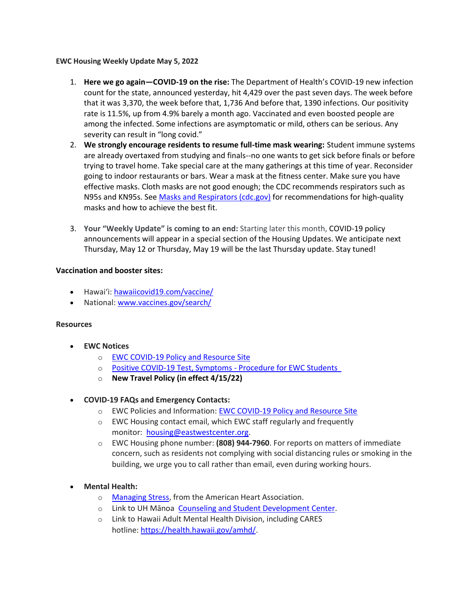#### **EWC Housing Weekly Update May 5, 2022**

- 1. **Here we go again—COVID-19 on the rise:** The Department of Health's COVID-19 new infection count for the state, announced yesterday, hit 4,429 over the past seven days. The week before that it was 3,370, the week before that, 1,736 And before that, 1390 infections. Our positivity rate is 11.5%, up from 4.9% barely a month ago. Vaccinated and even boosted people are among the infected. Some infections are asymptomatic or mild, others can be serious. Any severity can result in "long covid."
- 2. **We strongly encourage residents to resume full-time mask wearing:** Student immune systems are already overtaxed from studying and finals--no one wants to get sick before finals or before trying to travel home. Take special care at the many gatherings at this time of year. Reconsider going to indoor restaurants or bars. Wear a mask at the fitness center. Make sure you have effective masks. Cloth masks are not good enough; the CDC recommends respirators such as N95s and KN95s. See [Masks and Respirators \(cdc.gov\)](https://urldefense.proofpoint.com/v2/url?u=https-3A__www.cdc.gov_coronavirus_2019-2Dncov_prevent-2Dgetting-2Dsick_types-2Dof-2Dmasks.html&d=DwMFaQ&c=euGZstcaTDllvimEN8b7jXrwqOf-v5A_CdpgnVfiiMM&r=sjCoHaVUe8_a1MXsziR411ri4sB3BX3q50L3el6sXMQ&m=uB3-VEqTGE3sGdR_Y5W-dU7gBZ7XPp6vH38lWudDXDU&s=Qhwolfi6Ymf_CMTbvPFBolnV8vL8GK-Qtpb1n5rAryc&e=) for recommendations for high-quality masks and how to achieve the best fit.
- 3. **Your "Weekly Update" is coming to an end:** Starting later this month, COVID-19 policy announcements will appear in a special section of the Housing Updates. We anticipate next Thursday, May 12 or Thursday, May 19 will be the last Thursday update. Stay tuned!

### **Vaccination and booster sites:**

- Hawaiʻi: [hawaiicovid19.com/vaccine/](https://hawaiicovid19.com/vaccine/)
- National[: www.vaccines.gov/search/](https://urldefense.proofpoint.com/v2/url?u=https-3A__www.vaccines.gov_search_&d=DwMFaQ&c=euGZstcaTDllvimEN8b7jXrwqOf-v5A_CdpgnVfiiMM&r=sjCoHaVUe8_a1MXsziR411ri4sB3BX3q50L3el6sXMQ&m=uB3-VEqTGE3sGdR_Y5W-dU7gBZ7XPp6vH38lWudDXDU&s=hO-bpEDRFCcGiV8br9F78PpV3K-WIi24Zr-czxdqnvk&e=)

#### **Resources**

- **EWC Notices**
	- o [EWC COVID-19 Policy and Resource Site](https://urldefense.proofpoint.com/v2/url?u=https-3A__ewcparticipantinfo.org_covid-2D19_&d=DwMFaQ&c=euGZstcaTDllvimEN8b7jXrwqOf-v5A_CdpgnVfiiMM&r=3FPQcXK5sxYRrGCCxQc5PNSb-_SuaL_bSgfyHLgu3XI&m=NeEuRGBZcB6XdPpyhoUn4swvNjBnveDWGZ1brp8cIwI&s=psWXjZhChjGDJkHaOVt2bwTJxxk1NVhXgu70sXTpbpE&e=)
	- o Positive COVID-19 [Test, Symptoms](https://urldefense.proofpoint.com/v2/url?u=https-3A__ewcparticipantinfo.org_wp-2Dcontent_uploads_2021_11_Positive-2DTest-2DSymptoms-2DProcedure-2Dfor-2DStudents.pdf&d=DwMFaQ&c=euGZstcaTDllvimEN8b7jXrwqOf-v5A_CdpgnVfiiMM&r=sjCoHaVUe8_a1MXsziR411ri4sB3BX3q50L3el6sXMQ&m=uB3-VEqTGE3sGdR_Y5W-dU7gBZ7XPp6vH38lWudDXDU&s=xshWPlB1nybHmRrcu1DcTbClEBDbBtUzRY1K3KsJDqw&e=) Procedure for EWC Students
	- o **[New Travel Policy \(in effect 4/15/22\)](https://urldefense.proofpoint.com/v2/url?u=https-3A__ewcparticipantinfo.org_wp-2Dcontent_uploads_2022_04_EWC-2DTravel-2DPolicy-2D4-2D15-2D22.pdf&d=DwMFaQ&c=euGZstcaTDllvimEN8b7jXrwqOf-v5A_CdpgnVfiiMM&r=sjCoHaVUe8_a1MXsziR411ri4sB3BX3q50L3el6sXMQ&m=uB3-VEqTGE3sGdR_Y5W-dU7gBZ7XPp6vH38lWudDXDU&s=lnuGpMi_TJ8vDR7yObkR8fnZa5yFZcCfshsK_X-7KXQ&e=)**
- **COVID-19 FAQs and Emergency Contacts:**
	- o EWC Policies and Information: [EWC COVID-19 Policy and Resource Site](https://urldefense.proofpoint.com/v2/url?u=https-3A__ewcparticipantinfo.org_covid-2D19_&d=DwMFaQ&c=euGZstcaTDllvimEN8b7jXrwqOf-v5A_CdpgnVfiiMM&r=3FPQcXK5sxYRrGCCxQc5PNSb-_SuaL_bSgfyHLgu3XI&m=NeEuRGBZcB6XdPpyhoUn4swvNjBnveDWGZ1brp8cIwI&s=psWXjZhChjGDJkHaOVt2bwTJxxk1NVhXgu70sXTpbpE&e=)
	- o EWC Housing contact email, which EWC staff regularly and frequently monitor: [housing@eastwestcenter.org.](mailto:housing@eastwestcenter.org)
	- o EWC Housing phone number: **(808) 944-7960**. For reports on matters of immediate concern, such as residents not complying with social distancing rules or smoking in the building, we urge you to call rather than email, even during working hours.
- **Mental Health:**
	- o [Managing Stress,](https://urldefense.proofpoint.com/v2/url?u=https-3A__www.heart.org_en_healthy-2Dliving_healthy-2Dlifestyle_stress-2Dmanagement_3-2Dtips-2Dto-2Dmanage-2Dstress&d=DwMFaQ&c=euGZstcaTDllvimEN8b7jXrwqOf-v5A_CdpgnVfiiMM&r=3FPQcXK5sxYRrGCCxQc5PNSb-_SuaL_bSgfyHLgu3XI&m=DFa_g2AmhabelwvrqHcTxuYqCMz5HzQYOl-ITmKQUfY&s=brkk3h1YsapP-lIVcxt7MNYAlm4bQtz7YKIJGofeUkY&e=) from the American Heart Association.
	- o Link to UH Mānoa [Counseling and Student Development Center.](https://urldefense.proofpoint.com/v2/url?u=http-3A__www.manoa.hawaii.edu_counseling&d=DwMFaQ&c=euGZstcaTDllvimEN8b7jXrwqOf-v5A_CdpgnVfiiMM&r=3FPQcXK5sxYRrGCCxQc5PNSb-_SuaL_bSgfyHLgu3XI&m=am0JUX--VmENU0jPP_iW6ma-yLR9-vpVCXYuYLP_pnQ&s=KLUr2I-87m8x7gT-LRZ1FsUmDxTlS04cGYG1bEY4eOo&e=)
	- o Link to Hawaii Adult Mental Health Division, including CARES hotline: [https://health.hawaii.gov/amhd/.](https://urldefense.proofpoint.com/v2/url?u=https-3A__health.hawaii.gov_amhd_&d=DwMFaQ&c=euGZstcaTDllvimEN8b7jXrwqOf-v5A_CdpgnVfiiMM&r=3FPQcXK5sxYRrGCCxQc5PNSb-_SuaL_bSgfyHLgu3XI&m=am0JUX--VmENU0jPP_iW6ma-yLR9-vpVCXYuYLP_pnQ&s=jGly2XqRyYGfSfcDeFQPHXOriK3LXX4ijFkZpV1I3l0&e=)